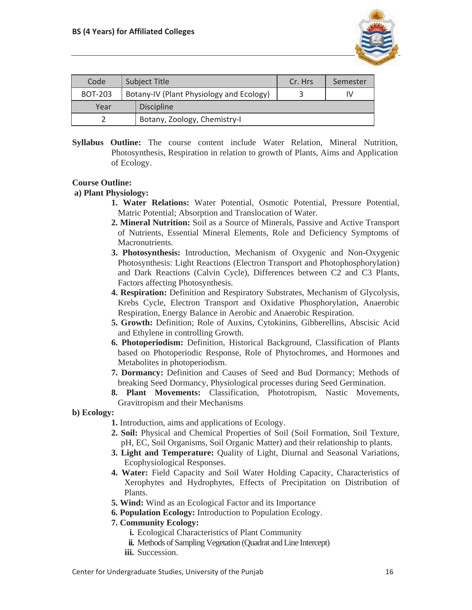

| Code           | Subject Title                            | Cr. Hrs | Semester |
|----------------|------------------------------------------|---------|----------|
| <b>BOT-203</b> | Botany-IV (Plant Physiology and Ecology) |         |          |
| Year           | <b>Discipline</b>                        |         |          |
|                | Botany, Zoology, Chemistry-I             |         |          |

**Syllabus Outline:** The course content include Water Relation, Mineral Nutrition, Photosynthesis, Respiration in relation to growth of Plants, Aims and Application of Ecology.

### **Course Outline:**

### **a) Plant Physiology:**

- **1. Water Relations:** Water Potential, Osmotic Potential, Pressure Potential, Matric Potential; Absorption and Translocation of Water.
- **2. Mineral Nutrition:** Soil as a Source of Minerals, Passive and Active Transport of Nutrients, Essential Mineral Elements, Role and Deficiency Symptoms of Macronutrients.
- **3. Photosynthesis:** Introduction, Mechanism of Oxygenic and Non-Oxygenic Photosynthesis: Light Reactions (Electron Transport and Photophosphorylation) and Dark Reactions (Calvin Cycle), Differences between C2 and C3 Plants, Factors affecting Photosynthesis.
- **4. Respiration:** Definition and Respiratory Substrates, Mechanism of Glycolysis, Krebs Cycle, Electron Transport and Oxidative Phosphorylation, Anaerobic Respiration, Energy Balance in Aerobic and Anaerobic Respiration.
- **5. Growth:** Definition; Role of Auxins, Cytokinins, Gibberellins, Abscisic Acid and Ethylene in controlling Growth.
- **6. Photoperiodism:** Definition, Historical Background, Classification of Plants based on Photoperiodic Response, Role of Phytochromes, and Hormones and Metabolites in photoperiodism.
- **7. Dormancy:** Definition and Causes of Seed and Bud Dormancy; Methods of breaking Seed Dormancy, Physiological processes during Seed Germination.
- **8. Plant Movements:** Classification, Phototropism, Nastic Movements, Gravitropism and their Mechanisms

**b) Ecology:**

- **1.** Introduction, aims and applications of Ecology.
- **2. Soil:** Physical and Chemical Properties of Soil (Soil Formation, Soil Texture, pH, EC, Soil Organisms, Soil Organic Matter) and their relationship to plants.
- **3. Light and Temperature:** Quality of Light, Diurnal and Seasonal Variations, Ecophysiological Responses.
- **4. Water:** Field Capacity and Soil Water Holding Capacity, Characteristics of Xerophytes and Hydrophytes, Effects of Precipitation on Distribution of Plants.
- **5. Wind:** Wind as an Ecological Factor and its Importance
- **6. Population Ecology:** Introduction to Population Ecology.

## **7. Community Ecology:**

- **i.** Ecological Characteristics of Plant Community
- **ii.** Methods of Sampling Vegetation (Quadrat and Line Intercept)
- **iii.** Succession.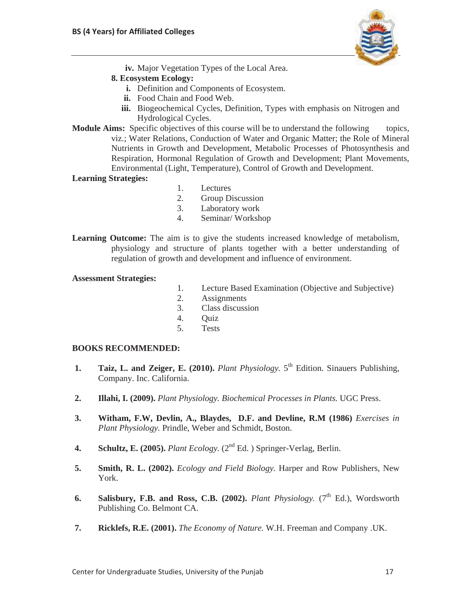

**iv.** Major Vegetation Types of the Local Area.

# **8. Ecosystem Ecology:**

- **i.** Definition and Components of Ecosystem.
- **ii.** Food Chain and Food Web.
- **iii.** Biogeochemical Cycles, Definition, Types with emphasis on Nitrogen and Hydrological Cycles.
- **Module Aims:** Specific objectives of this course will be to understand the following topics, viz.; Water Relations, Conduction of Water and Organic Matter; the Role of Mineral Nutrients in Growth and Development, Metabolic Processes of Photosynthesis and Respiration, Hormonal Regulation of Growth and Development; Plant Movements, Environmental (Light, Temperature), Control of Growth and Development.

## **Learning Strategies:**

- 1. Lectures
- 2. Group Discussion
- 3. Laboratory work
- 4. Seminar/ Workshop
- **Learning Outcome:** The aim is to give the students increased knowledge of metabolism, physiology and structure of plants together with a better understanding of regulation of growth and development and influence of environment.

### **Assessment Strategies:**

- 1. Lecture Based Examination (Objective and Subjective)
- 2. Assignments
- 3. Class discussion
- 4. Quiz
- 5. Tests

### **BOOKS RECOMMENDED:**

- **1.** Taiz, L. and Zeiger, E. (2010). *Plant Physiology*. 5<sup>th</sup> Edition. Sinauers Publishing, Company. Inc. California.
- **2. Illahi, I. (2009).** *Plant Physiology. Biochemical Processes in Plants.* UGC Press.
- **3. Witham, F.W, Devlin, A., Blaydes, D.F. and Devline, R.M (1986)** *Exercises in Plant Physiology.* Prindle, Weber and Schmidt, Boston.
- **4. Schultz, E. (2005).** *Plant Ecology.* (2nd Ed. ) Springer-Verlag, Berlin.
- **5. Smith, R. L. (2002).** *Ecology and Field Biology.* Harper and Row Publishers, New York.
- **6.** Salisbury, F.B. and Ross, C.B. (2002). *Plant Physiology.*  $(7<sup>th</sup> Ed.)$ , Wordsworth Publishing Co. Belmont CA.
- **7. Ricklefs, R.E. (2001).** *The Economy of Nature.* W.H. Freeman and Company .UK.